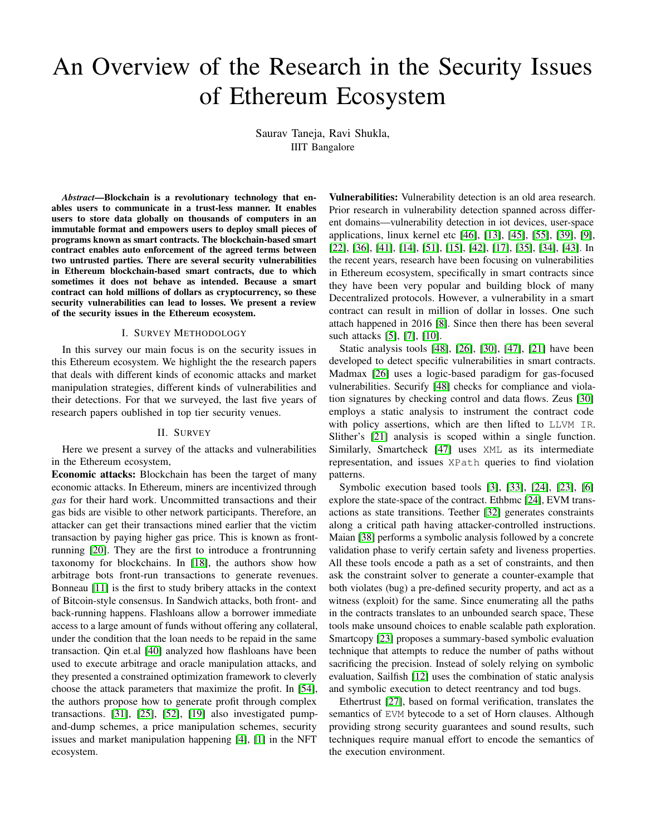# An Overview of the Research in the Security Issues of Ethereum Ecosystem

Saurav Taneja, Ravi Shukla, IIIT Bangalore

*Abstract*—Blockchain is a revolutionary technology that enables users to communicate in a trust-less manner. It enables users to store data globally on thousands of computers in an immutable format and empowers users to deploy small pieces of programs known as smart contracts. The blockchain-based smart contract enables auto enforcement of the agreed terms between two untrusted parties. There are several security vulnerabilities in Ethereum blockchain-based smart contracts, due to which sometimes it does not behave as intended. Because a smart contract can hold millions of dollars as cryptocurrency, so these security vulnerabilities can lead to losses. We present a review of the security issues in the Ethereum ecosystem.

#### I. SURVEY METHODOLOGY

In this survey our main focus is on the security issues in this Ethereum ecosystem. We highlight the the research papers that deals with different kinds of economic attacks and market manipulation strategies, different kinds of vulnerabilities and their detections. For that we surveyed, the last five years of research papers oublished in top tier security venues.

### II. SURVEY

Here we present a survey of the attacks and vulnerabilities in the Ethereum ecosystem,

Economic attacks: Blockchain has been the target of many economic attacks. In Ethereum, miners are incentivized through *gas* for their hard work. Uncommitted transactions and their gas bids are visible to other network participants. Therefore, an attacker can get their transactions mined earlier that the victim transaction by paying higher gas price. This is known as frontrunning [\[20\]](#page-1-0). They are the first to introduce a frontrunning taxonomy for blockchains. In [\[18\]](#page-1-1), the authors show how arbitrage bots front-run transactions to generate revenues. Bonneau [\[11\]](#page-1-2) is the first to study bribery attacks in the context of Bitcoin-style consensus. In Sandwich attacks, both front- and back-running happens. Flashloans allow a borrower immediate access to a large amount of funds without offering any collateral, under the condition that the loan needs to be repaid in the same transaction. Qin et.al [\[40\]](#page-1-3) analyzed how flashloans have been used to execute arbitrage and oracle manipulation attacks, and they presented a constrained optimization framework to cleverly choose the attack parameters that maximize the profit. In [\[54\]](#page-2-0), the authors propose how to generate profit through complex transactions. [\[31\]](#page-1-4), [\[25\]](#page-1-5), [\[52\]](#page-2-1), [\[19\]](#page-1-6) also investigated pumpand-dump schemes, a price manipulation schemes, security issues and market manipulation happening [\[4\]](#page-1-7), [\[1\]](#page-1-8) in the NFT ecosystem.

Vulnerabilities: Vulnerability detection is an old area research. Prior research in vulnerability detection spanned across different domains—vulnerability detection in iot devices, user-space applications, linux kernel etc [\[46\]](#page-2-2), [\[13\]](#page-1-9), [\[45\]](#page-2-3), [\[55\]](#page-2-4), [\[39\]](#page-1-10), [\[9\]](#page-1-11), [\[22\]](#page-1-12), [\[36\]](#page-1-13), [\[41\]](#page-1-14), [\[14\]](#page-1-15), [\[51\]](#page-2-5), [\[15\]](#page-1-16), [\[42\]](#page-1-17), [\[17\]](#page-1-18), [\[35\]](#page-1-19), [\[34\]](#page-1-20), [\[43\]](#page-2-6). In the recent years, research have been focusing on vulnerabilities in Ethereum ecosystem, specifically in smart contracts since they have been very popular and building block of many Decentralized protocols. However, a vulnerability in a smart contract can result in million of dollar in losses. One such attach happened in 2016 [\[8\]](#page-1-21). Since then there has been several such attacks [\[5\]](#page-1-22), [\[7\]](#page-1-23), [\[10\]](#page-1-24).

Static analysis tools [\[48\]](#page-2-7), [\[26\]](#page-1-25), [\[30\]](#page-1-26), [\[47\]](#page-2-8), [\[21\]](#page-1-27) have been developed to detect specific vulnerabilities in smart contracts. Madmax [\[26\]](#page-1-25) uses a logic-based paradigm for gas-focused vulnerabilities. Securify [\[48\]](#page-2-7) checks for compliance and violation signatures by checking control and data flows. Zeus [\[30\]](#page-1-26) employs a static analysis to instrument the contract code with policy assertions, which are then lifted to LLVM IR. Slither's [\[21\]](#page-1-27) analysis is scoped within a single function. Similarly, Smartcheck [\[47\]](#page-2-8) uses XML as its intermediate representation, and issues XPath queries to find violation patterns.

Symbolic execution based tools [\[3\]](#page-1-28), [\[33\]](#page-1-29), [\[24\]](#page-1-30), [\[23\]](#page-1-31), [\[6\]](#page-1-32) explore the state-space of the contract. Ethbmc [\[24\]](#page-1-30), EVM transactions as state transitions. Teether [\[32\]](#page-1-33) generates constraints along a critical path having attacker-controlled instructions. Maian [\[38\]](#page-1-34) performs a symbolic analysis followed by a concrete validation phase to verify certain safety and liveness properties. All these tools encode a path as a set of constraints, and then ask the constraint solver to generate a counter-example that both violates (bug) a pre-defined security property, and act as a witness (exploit) for the same. Since enumerating all the paths in the contracts translates to an unbounded search space, These tools make unsound choices to enable scalable path exploration. Smartcopy [\[23\]](#page-1-31) proposes a summary-based symbolic evaluation technique that attempts to reduce the number of paths without sacrificing the precision. Instead of solely relying on symbolic evaluation, Sailfish [\[12\]](#page-1-35) uses the combination of static analysis and symbolic execution to detect reentrancy and tod bugs.

Ethertrust [\[27\]](#page-1-36), based on formal verification, translates the semantics of EVM bytecode to a set of Horn clauses. Although providing strong security guarantees and sound results, such techniques require manual effort to encode the semantics of the execution environment.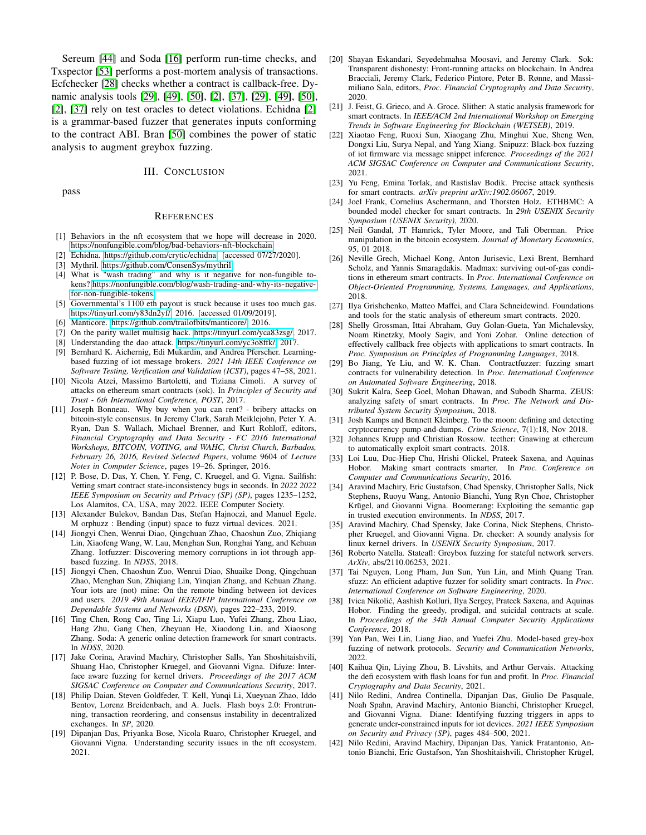Sereum [\[44\]](#page-2-9) and Soda [\[16\]](#page-1-37) perform run-time checks, and Txspector [\[53\]](#page-2-10) performs a post-mortem analysis of transactions. Ecfchecker [\[28\]](#page-1-38) checks whether a contract is callback-free. Dynamic analysis tools [\[29\]](#page-1-39), [\[49\]](#page-2-11), [\[50\]](#page-2-12), [\[2\]](#page-1-40), [\[37\]](#page-1-41), [\[29\]](#page-1-39), [\[49\]](#page-2-11), [\[50\]](#page-2-12), [\[2\]](#page-1-40), [\[37\]](#page-1-41) rely on test oracles to detect violations. Echidna [\[2\]](#page-1-40) is a grammar-based fuzzer that generates inputs conforming to the contract ABI. Bran [\[50\]](#page-2-12) combines the power of static analysis to augment greybox fuzzing.

## III. CONCLUSION

pass

#### REFERENCES

- <span id="page-1-8"></span>[1] Behaviors in the nft ecosystem that we hope will decrease in 2020. https://nonfungible.[com/blog/bad-behaviors-nft-blockchain.](https://nonfungible.com/blog/bad-behaviors-nft-blockchain)
- <span id="page-1-40"></span>Echidna. https://github.[com/crytic/echidna.](https://github.com/crytic/echidna) [accessed 07/27/2020].
- <span id="page-1-28"></span>[3] Mythril. https://github.[com/ConsenSys/mythril.](https://github.com/ConsenSys/mythril)
- <span id="page-1-7"></span>[4] What is "wash trading" and why is it negative for non-fungible tokens? https://nonfungible.[com/blog/wash-trading-and-why-its-negative](https://nonfungible.com/blog/wash-trading-and-why-its-negative-for-non-fungible-tokens)[for-non-fungible-tokens.](https://nonfungible.com/blog/wash-trading-and-why-its-negative-for-non-fungible-tokens)
- <span id="page-1-22"></span>[5] Governmental's 1100 eth payout is stuck because it uses too much gas. https://tinyurl.[com/y83dn2yf/,](https://tinyurl.com/y83dn2yf/) 2016. [accessed 01/09/2019].
- <span id="page-1-32"></span>[6] Manticore. https://github.[com/trailofbits/manticore/,](https://github.com/trailofbits/manticore/) 2016.
- <span id="page-1-23"></span>[7] On the parity wallet multisig hack. https://tinyurl.[com/yca83zsg/,](https://tinyurl.com/yca83zsg/) 2017.
- <span id="page-1-21"></span>[8] Understanding the dao attack. https://tinyurl.[com/yc3o8ffk/,](https://tinyurl.com/yc3o8ffk/) 2017.
- <span id="page-1-11"></span>[9] Bernhard K. Aichernig, Edi Mukardin, and Andrea Pferscher. Learningbased fuzzing of iot message brokers. *2021 14th IEEE Conference on Software Testing, Verification and Validation (ICST)*, pages 47–58, 2021.
- <span id="page-1-24"></span>[10] Nicola Atzei, Massimo Bartoletti, and Tiziana Cimoli. A survey of attacks on ethereum smart contracts (sok). In *Principles of Security and Trust - 6th International Conference, POST*, 2017.
- <span id="page-1-2"></span>[11] Joseph Bonneau. Why buy when you can rent? - bribery attacks on bitcoin-style consensus. In Jeremy Clark, Sarah Meiklejohn, Peter Y. A. Ryan, Dan S. Wallach, Michael Brenner, and Kurt Rohloff, editors, *Financial Cryptography and Data Security - FC 2016 International Workshops, BITCOIN, VOTING, and WAHC, Christ Church, Barbados, February 26, 2016, Revised Selected Papers*, volume 9604 of *Lecture Notes in Computer Science*, pages 19–26. Springer, 2016.
- <span id="page-1-35"></span>[12] P. Bose, D. Das, Y. Chen, Y. Feng, C. Kruegel, and G. Vigna. Sailfish: Vetting smart contract state-inconsistency bugs in seconds. In *2022 2022 IEEE Symposium on Security and Privacy (SP) (SP)*, pages 1235–1252, Los Alamitos, CA, USA, may 2022. IEEE Computer Society.
- <span id="page-1-9"></span>[13] Alexander Bulekov, Bandan Das, Stefan Hajnoczi, and Manuel Egele. M orphuzz : Bending (input) space to fuzz virtual devices. 2021.
- <span id="page-1-15"></span>[14] Jiongyi Chen, Wenrui Diao, Qingchuan Zhao, Chaoshun Zuo, Zhiqiang Lin, Xiaofeng Wang, W. Lau, Menghan Sun, Ronghai Yang, and Kehuan Zhang. Iotfuzzer: Discovering memory corruptions in iot through appbased fuzzing. In *NDSS*, 2018.
- <span id="page-1-16"></span>[15] Jiongyi Chen, Chaoshun Zuo, Wenrui Diao, Shuaike Dong, Qingchuan Zhao, Menghan Sun, Zhiqiang Lin, Yinqian Zhang, and Kehuan Zhang. Your iots are (not) mine: On the remote binding between iot devices and users. *2019 49th Annual IEEE/IFIP International Conference on Dependable Systems and Networks (DSN)*, pages 222–233, 2019.
- <span id="page-1-37"></span>[16] Ting Chen, Rong Cao, Ting Li, Xiapu Luo, Yufei Zhang, Zhou Liao, Hang Zhu, Gang Chen, Zheyuan He, Xiaodong Lin, and Xiaosong Zhang. Soda: A generic online detection framework for smart contracts. In *NDSS*, 2020.
- <span id="page-1-18"></span>[17] Jake Corina, Aravind Machiry, Christopher Salls, Yan Shoshitaishvili, Shuang Hao, Christopher Kruegel, and Giovanni Vigna. Difuze: Interface aware fuzzing for kernel drivers. *Proceedings of the 2017 ACM SIGSAC Conference on Computer and Communications Security*, 2017.
- <span id="page-1-1"></span>[18] Philip Daian, Steven Goldfeder, T. Kell, Yunqi Li, Xueyuan Zhao, Iddo Bentov, Lorenz Breidenbach, and A. Juels. Flash boys 2.0: Frontrunning, transaction reordering, and consensus instability in decentralized exchanges. In *SP*, 2020.
- <span id="page-1-6"></span>[19] Dipanjan Das, Priyanka Bose, Nicola Ruaro, Christopher Kruegel, and Giovanni Vigna. Understanding security issues in the nft ecosystem. 2021.
- <span id="page-1-0"></span>[20] Shayan Eskandari, Seyedehmahsa Moosavi, and Jeremy Clark. Sok: Transparent dishonesty: Front-running attacks on blockchain. In Andrea Bracciali, Jeremy Clark, Federico Pintore, Peter B. Rønne, and Massimiliano Sala, editors, *Proc. Financial Cryptography and Data Security*, 2020.
- <span id="page-1-27"></span>[21] J. Feist, G. Grieco, and A. Groce. Slither: A static analysis framework for smart contracts. In *IEEE/ACM 2nd International Workshop on Emerging Trends in Software Engineering for Blockchain (WETSEB)*, 2019.
- <span id="page-1-12"></span>[22] Xiaotao Feng, Ruoxi Sun, Xiaogang Zhu, Minghui Xue, Sheng Wen, Dongxi Liu, Surya Nepal, and Yang Xiang. Snipuzz: Black-box fuzzing of iot firmware via message snippet inference. *Proceedings of the 2021 ACM SIGSAC Conference on Computer and Communications Security*, 2021.
- <span id="page-1-31"></span>[23] Yu Feng, Emina Torlak, and Rastislav Bodik. Precise attack synthesis for smart contracts. *arXiv preprint arXiv:1902.06067*, 2019.
- <span id="page-1-30"></span>[24] Joel Frank, Cornelius Aschermann, and Thorsten Holz. ETHBMC: A bounded model checker for smart contracts. In *29th USENIX Security Symposium (USENIX Security)*, 2020.
- <span id="page-1-5"></span>[25] Neil Gandal, JT Hamrick, Tyler Moore, and Tali Oberman. Price manipulation in the bitcoin ecosystem. *Journal of Monetary Economics*, 95, 01 2018.
- <span id="page-1-25"></span>[26] Neville Grech, Michael Kong, Anton Jurisevic, Lexi Brent, Bernhard Scholz, and Yannis Smaragdakis. Madmax: surviving out-of-gas conditions in ethereum smart contracts. In *Proc. International Conference on Object-Oriented Programming, Systems, Languages, and Applications*, 2018.
- <span id="page-1-36"></span>[27] Ilya Grishchenko, Matteo Maffei, and Clara Schneidewind. Foundations and tools for the static analysis of ethereum smart contracts. 2020.
- <span id="page-1-38"></span>[28] Shelly Grossman, Ittai Abraham, Guy Golan-Gueta, Yan Michalevsky, Noam Rinetzky, Mooly Sagiv, and Yoni Zohar. Online detection of effectively callback free objects with applications to smart contracts. In *Proc. Symposium on Principles of Programming Languages*, 2018.
- <span id="page-1-39"></span>[29] Bo Jiang, Ye Liu, and W. K. Chan. Contractfuzzer: fuzzing smart contracts for vulnerability detection. In *Proc. International Conference on Automated Software Engineering*, 2018.
- <span id="page-1-26"></span>[30] Sukrit Kalra, Seep Goel, Mohan Dhawan, and Subodh Sharma. ZEUS: analyzing safety of smart contracts. In *Proc. The Network and Distributed System Security Symposium*, 2018.
- <span id="page-1-4"></span>[31] Josh Kamps and Bennett Kleinberg. To the moon: defining and detecting cryptocurrency pump-and-dumps. *Crime Science*, 7(1):18, Nov 2018.
- <span id="page-1-33"></span>[32] Johannes Krupp and Christian Rossow. teether: Gnawing at ethereum to automatically exploit smart contracts. 2018.
- <span id="page-1-29"></span>[33] Loi Luu, Duc-Hiep Chu, Hrishi Olickel, Prateek Saxena, and Aquinas Hobor. Making smart contracts smarter. In *Proc. Conference on Computer and Communications Security*, 2016.
- <span id="page-1-20"></span>Aravind Machiry, Eric Gustafson, Chad Spensky, Christopher Salls, Nick Stephens, Ruoyu Wang, Antonio Bianchi, Yung Ryn Choe, Christopher Krügel, and Giovanni Vigna. Boomerang: Exploiting the semantic gap in trusted execution environments. In *NDSS*, 2017.
- <span id="page-1-19"></span>[35] Aravind Machiry, Chad Spensky, Jake Corina, Nick Stephens, Christopher Kruegel, and Giovanni Vigna. Dr. checker: A soundy analysis for linux kernel drivers. In *USENIX Security Symposium*, 2017.
- <span id="page-1-13"></span>[36] Roberto Natella. Stateafl: Greybox fuzzing for stateful network servers. *ArXiv*, abs/2110.06253, 2021.
- <span id="page-1-41"></span>[37] Tai Nguyen, Long Pham, Jun Sun, Yun Lin, and Minh Quang Tran. sfuzz: An efficient adaptive fuzzer for solidity smart contracts. In *Proc. International Conference on Software Engineering*, 2020.
- <span id="page-1-34"></span>[38] Ivica Nikolić, Aashish Kolluri, Ilya Sergey, Prateek Saxena, and Aquinas Hobor. Finding the greedy, prodigal, and suicidal contracts at scale. In *Proceedings of the 34th Annual Computer Security Applications Conference*, 2018.
- <span id="page-1-10"></span>[39] Yan Pan, Wei Lin, Liang Jiao, and Yuefei Zhu. Model-based grey-box fuzzing of network protocols. *Security and Communication Networks*, 2022.
- <span id="page-1-3"></span>[40] Kaihua Qin, Liying Zhou, B. Livshits, and Arthur Gervais. Attacking the defi ecosystem with flash loans for fun and profit. In *Proc. Financial Cryptography and Data Security*, 2021.
- <span id="page-1-14"></span>[41] Nilo Redini, Andrea Continella, Dipanjan Das, Giulio De Pasquale, Noah Spahn, Aravind Machiry, Antonio Bianchi, Christopher Kruegel, and Giovanni Vigna. Diane: Identifying fuzzing triggers in apps to generate under-constrained inputs for iot devices. *2021 IEEE Symposium on Security and Privacy (SP)*, pages 484–500, 2021.
- <span id="page-1-17"></span>[42] Nilo Redini, Aravind Machiry, Dipanjan Das, Yanick Fratantonio, Antonio Bianchi, Eric Gustafson, Yan Shoshitaishvili, Christopher Krügel,